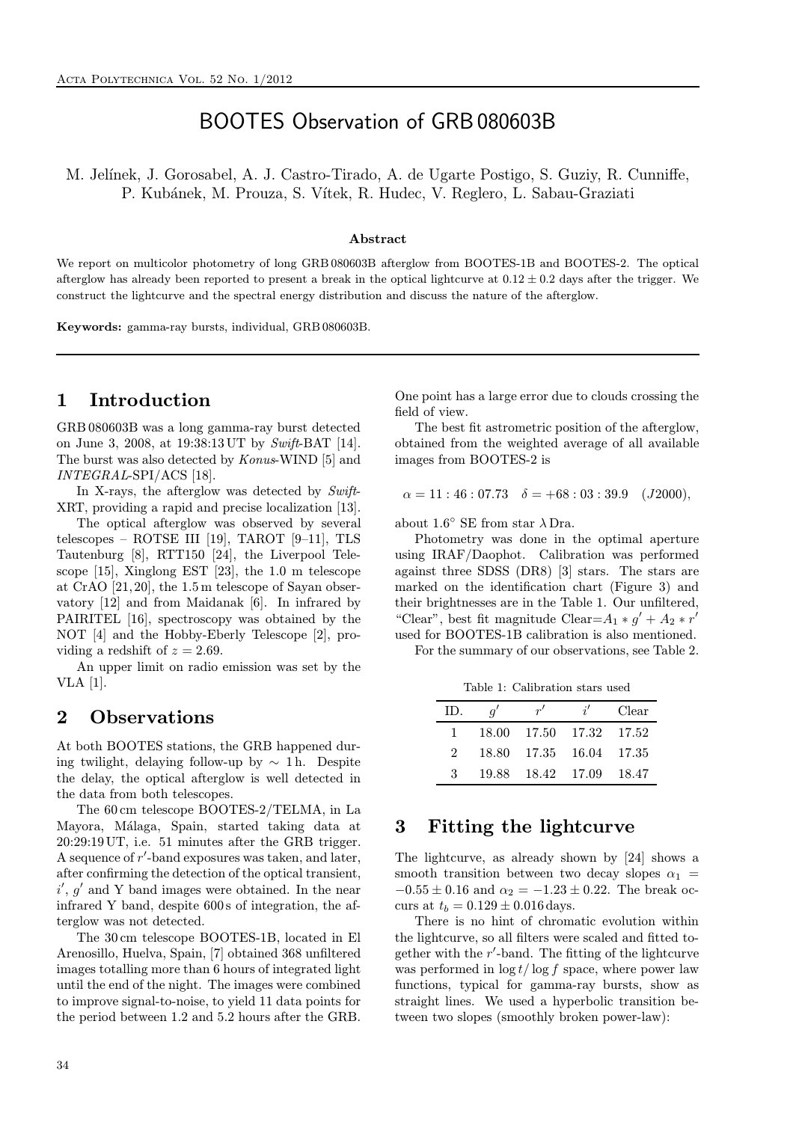# BOOTES Observation of GRB 080603B

M. Jelínek, J. Gorosabel, A. J. Castro-Tirado, A. de Ugarte Postigo, S. Guziy, R. Cunniffe, P. Kubánek, M. Prouza, S. Vítek, R. Hudec, V. Reglero, L. Sabau-Graziati

#### Abstract

We report on multicolor photometry of long GRB 080603B afterglow from BOOTES-1B and BOOTES-2. The optical afterglow has already been reported to present a break in the optical lightcurve at  $0.12 \pm 0.2$  days after the trigger. We construct the lightcurve and the spectral energy distribution and discuss the nature of the afterglow.

Keywords: gamma-ray bursts, individual, GRB 080603B.

# 1 Introduction

GRB 080603B was a long gamma-ray burst detected on June 3, 2008, at 19:38:13 UT by Swift-BAT [14]. The burst was also detected by Konus-WIND [5] and INTEGRAL-SPI/ACS [18].

In X-rays, the afterglow was detected by Swift-XRT, providing a rapid and precise localization [13].

The optical afterglow was observed by several telescopes – ROTSE III [19], TAROT [9–11], TLS Tautenburg [8], RTT150 [24], the Liverpool Telescope [15], Xinglong EST [23], the 1.0 m telescope at CrAO [21, 20], the 1.5 m telescope of Sayan observatory [12] and from Maidanak [6]. In infrared by PAIRITEL [16], spectroscopy was obtained by the NOT [4] and the Hobby-Eberly Telescope [2], providing a redshift of  $z = 2.69$ .

An upper limit on radio emission was set by the VLA [1].

### 2 Observations

At both BOOTES stations, the GRB happened during twilight, delaying follow-up by  $\sim 1$  h. Despite the delay, the optical afterglow is well detected in the data from both telescopes.

The 60 cm telescope BOOTES-2/TELMA, in La Mayora, Málaga, Spain, started taking data at 20:29:19 UT, i.e. 51 minutes after the GRB trigger. A sequence of r'-band exposures was taken, and later, after confirming the detection of the optical transient,  $i', g'$  and Y band images were obtained. In the near infrared Y band, despite 600 s of integration, the afterglow was not detected.

The 30 cm telescope BOOTES-1B, located in El Arenosillo, Huelva, Spain, [7] obtained 368 unfiltered images totalling more than 6 hours of integrated light until the end of the night. The images were combined to improve signal-to-noise, to yield 11 data points for the period between 1.2 and 5.2 hours after the GRB.

One point has a large error due to clouds crossing the field of view.

The best fit astrometric position of the afterglow, obtained from the weighted average of all available images from BOOTES-2 is

$$
\alpha = 11 : 46 : 07.73 \quad \delta = +68 : 03 : 39.9 \quad (J2000),
$$

about  $1.6°$  SE from star  $\lambda$  Dra.

Photometry was done in the optimal aperture using IRAF/Daophot. Calibration was performed against three SDSS (DR8) [3] stars. The stars are marked on the identification chart (Figure 3) and their brightnesses are in the Table 1. Our unfiltered, "Clear", best fit magnitude Clear= $A_1 * g' + A_2 * r'$ used for BOOTES-1B calibration is also mentioned.

For the summary of our observations, see Table 2.

Table 1: Calibration stars used

| ID.         | $q^{\prime}$ | r'                      | i' | Clear   |
|-------------|--------------|-------------------------|----|---------|
|             |              | 18.00 17.50 17.32 17.52 |    |         |
| $2^{\circ}$ |              | 18.80 17.35 16.04 17.35 |    |         |
| 3           |              | 19.88 18.42 17.09       |    | - 18.47 |

#### 3 Fitting the lightcurve

The lightcurve, as already shown by [24] shows a smooth transition between two decay slopes  $\alpha_1$  =  $-0.55 \pm 0.16$  and  $\alpha_2 = -1.23 \pm 0.22$ . The break occurs at  $t_b = 0.129 \pm 0.016 \,\text{days}.$ 

There is no hint of chromatic evolution within the lightcurve, so all filters were scaled and fitted together with the  $r'$ -band. The fitting of the lightcurve was performed in  $\log t / \log f$  space, where power law functions, typical for gamma-ray bursts, show as straight lines. We used a hyperbolic transition between two slopes (smoothly broken power-law):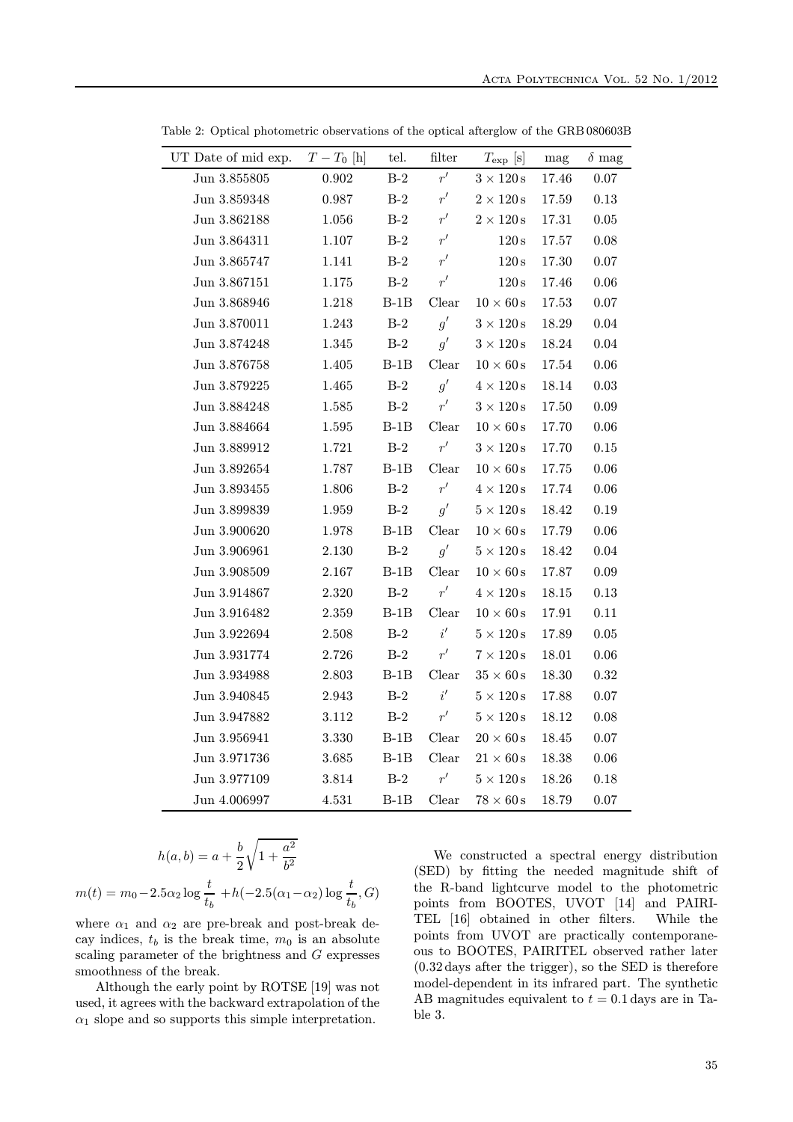| UT Date of mid exp. | $T-T_0$ [h] | tel.         | filter        | $T_{\rm exp}$ [s]        | mag   | $\delta$ mag |
|---------------------|-------------|--------------|---------------|--------------------------|-------|--------------|
| Jun 3.855805        | 0.902       | $\mbox{B-2}$ | $r^{\prime}$  | $3\times120\,\mathrm{s}$ | 17.46 | 0.07         |
| Jun $3.859348$      | 0.987       | $B-2$        | r'            | $2 \times 120$ s         | 17.59 | 0.13         |
| Jun 3.862188        | $1.056\,$   | $B-2$        | r'            | $2 \times 120$ s         | 17.31 | 0.05         |
| Jun 3.864311        | 1.107       | $B-2$        | $r^\prime$    | 120 s                    | 17.57 | 0.08         |
| Jun 3.865747        | 1.141       | $B-2$        | r'            | 120 s                    | 17.30 | 0.07         |
| Jun $3.867151$      | 1.175       | $B-2$        | r'            | $120\,\mathrm{s}$        | 17.46 | 0.06         |
| Jun 3.868946        | 1.218       | $B-1B$       | ${\it Clear}$ | $10\times60\,\mathrm{s}$ | 17.53 | 0.07         |
| Jun 3.870011        | 1.243       | $B-2$        | g'            | $3\times120\,\mathrm{s}$ | 18.29 | 0.04         |
| Jun 3.874248        | 1.345       | $B-2$        | g'            | $3\times120\,\mathrm{s}$ | 18.24 | 0.04         |
| Jun 3.876758        | 1.405       | $B-1B$       | Clear         | $10 \times 60$ s         | 17.54 | 0.06         |
| Jun 3.879225        | 1.465       | $B-2$        | q'            | $4 \times 120$ s         | 18.14 | 0.03         |
| Jun 3.884248        | 1.585       | $B-2$        | r'            | $3 \times 120$ s         | 17.50 | 0.09         |
| Jun 3.884664        | 1.595       | $B-1B$       | Clear         | $10 \times 60$ s         | 17.70 | 0.06         |
| Jun 3.889912        | 1.721       | $B-2$        | r'            | $3 \times 120$ s         | 17.70 | 0.15         |
| Jun 3.892654        | 1.787       | $B-1B$       | Clear         | $10 \times 60$ s         | 17.75 | 0.06         |
| Jun 3.893455        | 1.806       | $B-2$        | r'            | $4 \times 120$ s         | 17.74 | 0.06         |
| Jun 3.899839        | 1.959       | $B-2$        | g'            | $5\times120\,\mathrm{s}$ | 18.42 | 0.19         |
| Jun 3.900620        | 1.978       | $B-1B$       | Clear         | $10 \times 60$ s         | 17.79 | 0.06         |
| Jun 3.906961        | $2.130\,$   | $B-2$        | q'            | $5 \times 120$ s         | 18.42 | 0.04         |
| Jun 3.908509        | 2.167       | $B-1B$       | Clear         | $10 \times 60$ s         | 17.87 | 0.09         |
| Jun 3.914867        | 2.320       | $B-2$        | r'            | $4 \times 120$ s         | 18.15 | 0.13         |
| Jun 3.916482        | 2.359       | $B-1B$       | Clear         | $10 \times 60$ s         | 17.91 | 0.11         |
| Jun 3.922694        | 2.508       | $B-2$        | i'            | $5\times120\,\mathrm{s}$ | 17.89 | 0.05         |
| Jun 3.931774        | 2.726       | $B-2$        | r'            | $7 \times 120$ s         | 18.01 | 0.06         |
| Jun 3.934988        | 2.803       | $B-1B$       | Clear         | $35 \times 60$ s         | 18.30 | 0.32         |
| Jun 3.940845        | 2.943       | $B-2$        | $i^\prime$    | $5\times120\,\mathrm{s}$ | 17.88 | 0.07         |
| Jun 3.947882        | 3.112       | $B-2$        | r'            | $5\times120\,\mathrm{s}$ | 18.12 | 0.08         |
| Jun 3.956941        | 3.330       | $B-1B$       | ${\it Clear}$ | $20 \times 60 s$         | 18.45 | 0.07         |
| Jun 3.971736        | 3.685       | $B-1B$       | ${\it Clear}$ | $21 \times 60$ s         | 18.38 | 0.06         |
| Jun 3.977109        | 3.814       | $B-2$        | r'            | $5\times120\,\mathrm{s}$ | 18.26 | 0.18         |
| Jun 4.006997        | 4.531       | $B-1B$       | Clear         | $78 \times 60$ s         | 18.79 | 0.07         |

Table 2: Optical photometric observations of the optical afterglow of the GRB 080603B

$$
h(a, b) = a + \frac{b}{2} \sqrt{1 + \frac{a^2}{b^2}}
$$

$$
m(t) = m_0 - 2.5\alpha_2 \log \frac{t}{t_b} + h(-2.5(\alpha_1 - \alpha_2)) \log \frac{t}{t_b}, G)
$$

l,

where  $\alpha_1$  and  $\alpha_2$  are pre-break and post-break decay indices,  $t_b$  is the break time,  $m_0$  is an absolute scaling parameter of the brightness and G expresses smoothness of the break.

Although the early point by ROTSE [19] was not used, it agrees with the backward extrapolation of the  $\alpha_1$  slope and so supports this simple interpretation.

We constructed a spectral energy distribution (SED) by fitting the needed magnitude shift of the R-band lightcurve model to the photometric points from BOOTES, UVOT [14] and PAIRI-TEL [16] obtained in other filters. While the points from UVOT are practically contemporaneous to BOOTES, PAIRITEL observed rather later (0.32 days after the trigger), so the SED is therefore model-dependent in its infrared part. The synthetic AB magnitudes equivalent to  $t = 0.1$  days are in Table 3.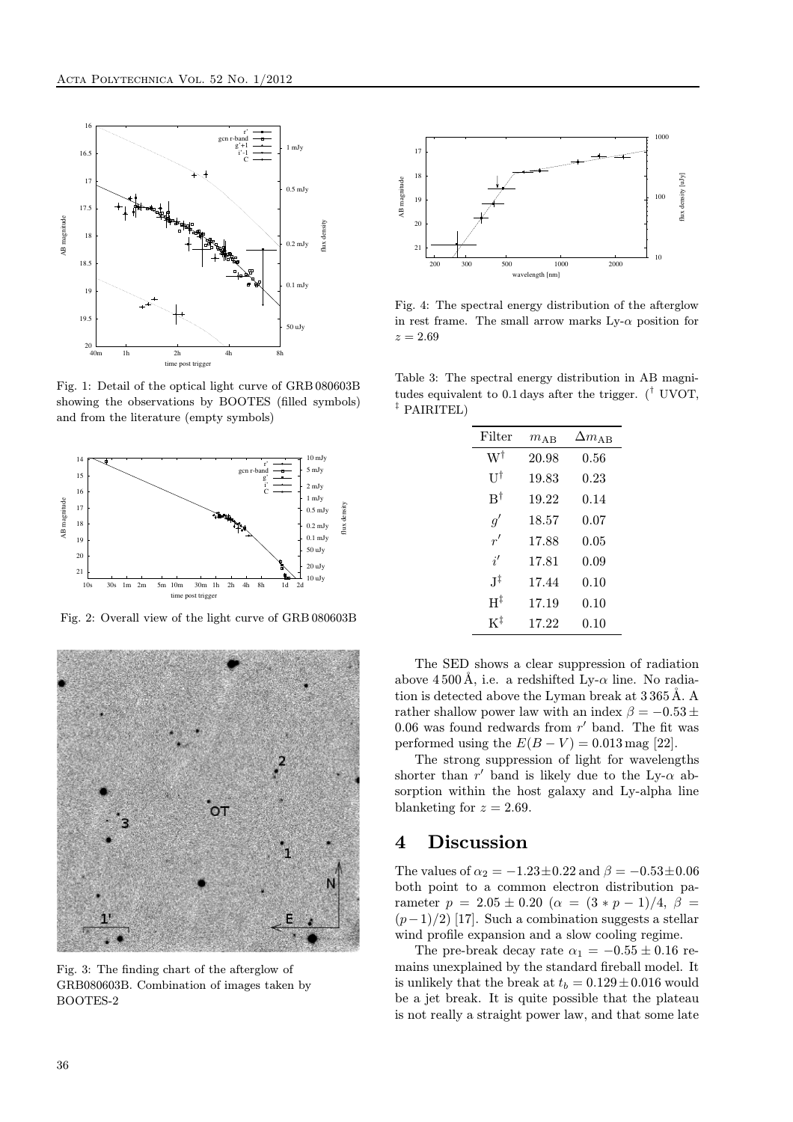

Fig. 1: Detail of the optical light curve of GRB 080603B showing the observations by BOOTES (filled symbols) and from the literature (empty symbols)



Fig. 2: Overall view of the light curve of GRB 080603B



Fig. 3: The finding chart of the afterglow of GRB080603B. Combination of images taken by BOOTES-2



Fig. 4: The spectral energy distribution of the afterglow in rest frame. The small arrow marks  $Ly-\alpha$  position for  $z = 2.69$ 

Table 3: The spectral energy distribution in AB magnitudes equivalent to 0.1 days after the trigger.  $({}^{\dagger}$  UVOT, ‡ PAIRITEL)

| Filter                 | $m_{\rm AB}$ | $\Delta m_{\rm AB}$ |
|------------------------|--------------|---------------------|
| W†                     | 20.98        | 0.56                |
| Uļ                     | 19.83        | 0.23                |
| $\mathbf{B}^{\dagger}$ | 19.22        | 0.14                |
| g'                     | 18.57        | 0.07                |
| r'                     | 17.88        | 0.05                |
| i'                     | 17.81        | 0.09                |
| .T‡                    | 17.44        | 0.10                |
| $H^{\ddagger}$         | 17.19        | 0.10                |
| $K^{\ddagger}$         | 17.22        | 0.10                |

The SED shows a clear suppression of radiation above 4500 Å, i.e. a redshifted Ly- $\alpha$  line. No radiation is detected above the Lyman break at 3365Å. A rather shallow power law with an index  $\beta = -0.53 \pm$ 0.06 was found redwards from  $r'$  band. The fit was performed using the  $E(B - V) = 0.013$  mag [22].

The strong suppression of light for wavelengths shorter than  $r'$  band is likely due to the Ly- $\alpha$  absorption within the host galaxy and Ly-alpha line blanketing for  $z = 2.69$ .

### 4 Discussion

The values of  $\alpha_2 = -1.23 \pm 0.22$  and  $\beta = -0.53 \pm 0.06$ both point to a common electron distribution parameter  $p = 2.05 \pm 0.20$  ( $\alpha = (3 * p - 1)/4$ ,  $\beta =$  $(p-1)/2$ ) [17]. Such a combination suggests a stellar wind profile expansion and a slow cooling regime.

The pre-break decay rate  $\alpha_1 = -0.55 \pm 0.16$  remains unexplained by the standard fireball model. It is unlikely that the break at  $t_b = 0.129 \pm 0.016$  would be a jet break. It is quite possible that the plateau is not really a straight power law, and that some late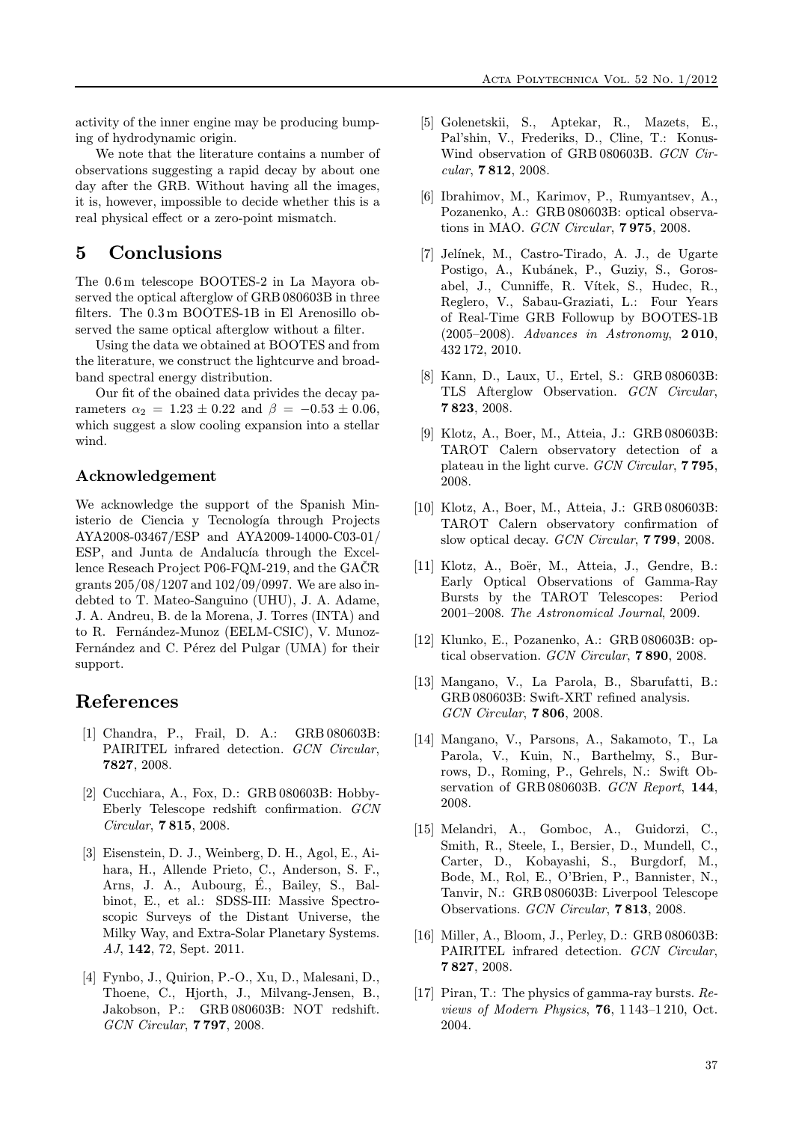activity of the inner engine may be producing bumping of hydrodynamic origin.

We note that the literature contains a number of observations suggesting a rapid decay by about one day after the GRB. Without having all the images, it is, however, impossible to decide whether this is a real physical effect or a zero-point mismatch.

# 5 Conclusions

The 0.6 m telescope BOOTES-2 in La Mayora observed the optical afterglow of GRB 080603B in three filters. The 0.3 m BOOTES-1B in El Arenosillo observed the same optical afterglow without a filter.

Using the data we obtained at BOOTES and from the literature, we construct the lightcurve and broadband spectral energy distribution.

Our fit of the obained data privides the decay parameters  $\alpha_2 = 1.23 \pm 0.22$  and  $\beta = -0.53 \pm 0.06$ , which suggest a slow cooling expansion into a stellar wind.

#### Acknowledgement

We acknowledge the support of the Spanish Ministerio de Ciencia y Tecnología through Projects AYA2008-03467/ESP and AYA2009-14000-C03-01/ ESP, and Junta de Andalucía through the Excellence Reseach Project P06-FQM-219, and the  $GACR$ grants 205/08/1207 and 102/09/0997. We are also indebted to T. Mateo-Sanguino (UHU), J. A. Adame, J. A. Andreu, B. de la Morena, J. Torres (INTA) and to R. Fernández-Munoz (EELM-CSIC), V. Munoz-Fernández and C. Pérez del Pulgar (UMA) for their support.

# References

- [1] Chandra, P., Frail, D. A.: GRB 080603B: PAIRITEL infrared detection. GCN Circular, 7827, 2008.
- [2] Cucchiara, A., Fox, D.: GRB 080603B: Hobby-Eberly Telescope redshift confirmation. GCN Circular, 7 815, 2008.
- [3] Eisenstein, D. J., Weinberg, D. H., Agol, E., Aihara, H., Allende Prieto, C., Anderson, S. F., Arns, J. A., Aubourg, E., Bailey, S., Bal- ´ binot, E., et al.: SDSS-III: Massive Spectroscopic Surveys of the Distant Universe, the Milky Way, and Extra-Solar Planetary Systems. AJ, 142, 72, Sept. 2011.
- [4] Fynbo, J., Quirion, P.-O., Xu, D., Malesani, D., Thoene, C., Hjorth, J., Milvang-Jensen, B., Jakobson, P.: GRB 080603B: NOT redshift. GCN Circular, 7 797, 2008.
- [5] Golenetskii, S., Aptekar, R., Mazets, E., Pal'shin, V., Frederiks, D., Cline, T.: Konus-Wind observation of GRB 080603B. GCN Circular, 7 812, 2008.
- [6] Ibrahimov, M., Karimov, P., Rumyantsev, A., Pozanenko, A.: GRB 080603B: optical observations in MAO. GCN Circular, 7 975, 2008.
- [7] Jelínek, M., Castro-Tirado, A. J., de Ugarte Postigo, A., Kubánek, P., Guziy, S., Gorosabel, J., Cunniffe, R. Vítek, S., Hudec, R., Reglero, V., Sabau-Graziati, L.: Four Years of Real-Time GRB Followup by BOOTES-1B (2005–2008). Advances in Astronomy, 2 010, 432 172, 2010.
- [8] Kann, D., Laux, U., Ertel, S.: GRB 080603B: TLS Afterglow Observation. GCN Circular, 7 823, 2008.
- [9] Klotz, A., Boer, M., Atteia, J.: GRB 080603B: TAROT Calern observatory detection of a plateau in the light curve. GCN Circular, 7 795, 2008.
- [10] Klotz, A., Boer, M., Atteia, J.: GRB 080603B: TAROT Calern observatory confirmation of slow optical decay. GCN Circular, 7 799, 2008.
- [11] Klotz, A., Boër, M., Atteia, J., Gendre, B.: Early Optical Observations of Gamma-Ray Bursts by the TAROT Telescopes: Period 2001–2008. The Astronomical Journal, 2009.
- [12] Klunko, E., Pozanenko, A.: GRB 080603B: optical observation. GCN Circular, 7 890, 2008.
- [13] Mangano, V., La Parola, B., Sbarufatti, B.: GRB 080603B: Swift-XRT refined analysis. GCN Circular, 7 806, 2008.
- [14] Mangano, V., Parsons, A., Sakamoto, T., La Parola, V., Kuin, N., Barthelmy, S., Burrows, D., Roming, P., Gehrels, N.: Swift Observation of GRB 080603B. GCN Report, 144, 2008.
- [15] Melandri, A., Gomboc, A., Guidorzi, C., Smith, R., Steele, I., Bersier, D., Mundell, C., Carter, D., Kobayashi, S., Burgdorf, M., Bode, M., Rol, E., O'Brien, P., Bannister, N., Tanvir, N.: GRB 080603B: Liverpool Telescope Observations. GCN Circular, 7 813, 2008.
- [16] Miller, A., Bloom, J., Perley, D.: GRB 080603B: PAIRITEL infrared detection. GCN Circular, 7 827, 2008.
- [17] Piran, T.: The physics of gamma-ray bursts. Reviews of Modern Physics, 76, 1 143–1 210, Oct. 2004.